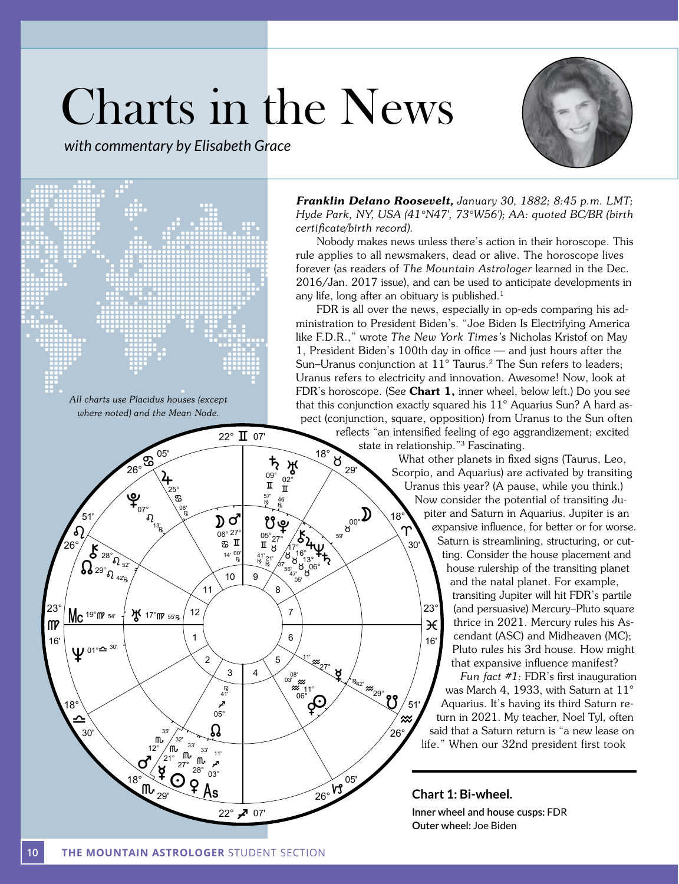# Charts in the News

*with commentary by Elisabeth Grace*





<sup>All</sup> charts use Placidus houses (except *where noted) and the Mean Node.* Tropical

အ

 $\Omega$ 

13'

Œ

05'

ƒ

08'

Œ

25°

26°

မှ $\mathbf{f}_{\scriptscriptstyle{07^\circ}}$ 

*Franklin Delano Roosevelt, January 30, 1882; 8:45 p.m. LMT; Hyde Park, NY, USA (41°N47', 73°W56'); AA: quoted BC/BR (birth certificate/birth record).* 

Nobody makes news unless there's action in their horoscope. This rule applies to all newsmakers, dead or alive. The horoscope lives forever (as readers of *The Mountain Astrologer* learned in the Dec. 2016/Jan. 2017 issue), and can be used to anticipate developments in any life, long after an obituary is published. $1$ 

FDR is all over the news, especially in op-eds comparing his administration to President Biden's. "Joe Biden Is Electrifying America nimidendired to a reduction place of the process place to process in the new York Times's Nicholas Kristof on May<br>like F.D.R.," wrote *The New York Times's Nicholas Kristof on May* 1, President Biden's 100th day in office  $-$  and just hours after the Sun–Uranus conjunction at 11° Taurus.<sup>2</sup> The Sun refers to leaders; Uranus refers to electricity and innovation. Awesome! Now, look at FDR's horoscope. (See **Chart 1**, inner wheel, below left.) Do you see that this conjunction exactly squared his  $11^{\circ}$  Aquarius Sun? A hard aspect (conjunction, square, opposition) from Uranus to the Sun often

Ü

18°

 $\mathbf{D}$ 

 $8^{00^\circ}$ 

 $59'$ 

ً∕≈

51'

26°

R<sub>42'</sub> 29° 29°

 $\frac{8}{29}$ 

 $\approx$  M

7

 $\sum_{16^\circ,13^\circ}^{16^\circ} A$ 

Ý ÝÝÝ 06°

05'  $56'_{47'}$ 

16°<br>}\_13° 17°

 $\oint$ 

 $\sqrt[11]{\frac{20}{10}}$ 

ั่≈\*ััััั้า\*°<br>06°

 $\boldsymbol{\sharp}$ 

6

 $03^{08'}$ 

**8** 

 $09^{\circ}$  02 $^{\circ}$ 

57' 46'<br>E R

5

9

 $\mathbf{D}$ တိ $\mathbf{C}$  ဗိမ္

 $\begin{bmatrix} \mathbb{E} & \mathbb{E} & \mathbb{E} \\ \mathbb{E} & \mathbb{E} & \mathbb{E} \\ \mathbb{E} & \mathbb{E} & \mathbb{E} \end{bmatrix}$ 

 $\frac{14'}{R}$   $\frac{00'}{R}$   $\frac{41'}{R}$   $\frac{21'}{R}$ 

 $\begin{array}{cc} 06^{\circ} 27^{\circ} & 05^{\circ} 27^{\circ} \\ \text{m} & \text{T} \end{array}$ 

4

05'

reflects "an intensified feeling of ego aggrandizement; excited state in relationship."3 Fascinating. 18°

What other planets in fixed signs (Taurus, Leo, Scorpio, and Aquarius) are activated by transiting Uranus this year? (A pause, while you think.) Now consider the potential of transiting Jupiter and Saturn in Aquarius. Jupiter is an expansive influence, for better or for worse. Saturn is streamlining, structuring, or cutting. Consider the house placement and house rulership of the transiting planet and the natal planet. For example, transiting Jupiter will hit FDR's partile (and persuasive) Mercury–Pluto square thrice in 2021. Mercury rules his Ascendant (ASC) and Midheaven (MC); Pluto rules his 3rd house. How might that expansive influence manifest?  $\mathsf{m}$   $\mathsf{m}$   $\mathsf{m}$   $\mathsf{m}$   $\mathsf{m}$   $\mathsf{m}$   $\mathsf{m}$  $\frac{23^{\circ}}{2^{\circ}}$  Mc 19°MP 54'  $\frac{1}{4}$  X 17°MP 55'R  $\left( \frac{12}{\circ} \right)$  12  $\left( \frac{23^{\circ}}{\circ} \right)$  12  $\left( \frac{23^{\circ}}{\circ} \right)$ 16'  $\begin{pmatrix} 1 & 0 \\ 0 & 1 \end{pmatrix}$   $\begin{pmatrix} 1 & 0 \\ 0 & 1 \end{pmatrix}$   $\begin{pmatrix} 0 & 1 \\ 0 & 1 \end{pmatrix}$   $\begin{pmatrix} 16 \\ 0 & 1 \end{pmatrix}$ 30'

*Fun fact #1:* FDR's first inauguration was March 4, 1933, with Saturn at 11° Aquarius. It's having its third Saturn return in 2021. My teacher, Noel Tyl, often said that a Saturn return is "a new lease on life." When our 32nd president first took

**Chart 1: Bi-wheel. Inner wheel and house cusps:** FDR **Outer wheel:** Joe Biden

 $\sigma_{\rm p}^{\rm 12^{\circ}~_{21^{\circ}~_{10^{\circ}~_{10^{\circ}~_{10^{\circ}~_{21^{\circ}~_{22^{\circ}~_{03^{\circ}~_{11^{\circ}~_{12^{\circ}~_{21^{\circ}~_{22^{\circ}~_{03^{\circ}~_{11^{\circ}~_{12^{\circ}~_{21^{\circ}~_{21^{\circ}~_{21^{\circ}~_{21^{\circ}~_{21^{\circ}~_{21^{\circ}~_{21^{\circ}~_{21^{\circ}~_{21^{\circ}~_{21^{\circ}~_{21^{\circ}~_{2$ 

1

12

2

 $\Omega$ 

 $\begin{array}{c} 33' \\ 33' \\ 33' \\ 11' \\ 33' \\ 14' \\ 33' \end{array}$ 

ىچ<br>05°

.<br>41'

 $1<sup>1</sup>$ 

3

10

ˆ 22° 07'

22° **II** 07'

 $\overbrace{A}^{\frac{1}{25}}$   $\frac{\pi}{4}$   $\frac{\pi}{25}$   $\frac{\pi}{25}$ 

 ${\sf m}_{\scriptscriptstyle 29'}$ 

‡

35'  $32'$ 

12° "°″ ր<br>21°<br>๊ Σ

**if** 17°<sub>m</sub> 55'<sub>R</sub>

18°

 $\triangle$ 

30'

18°

ภ

51'

 $\bm{\mathcal{S}}$  $\Omega_{^{29} \Omega_{^{42}R}}$ 

 $^{28^\circ}$ ຄົ $_{52^\circ}$ 

 $\Psi$ <sup>01° $\cong$  30'</sup>

26°

Mean Node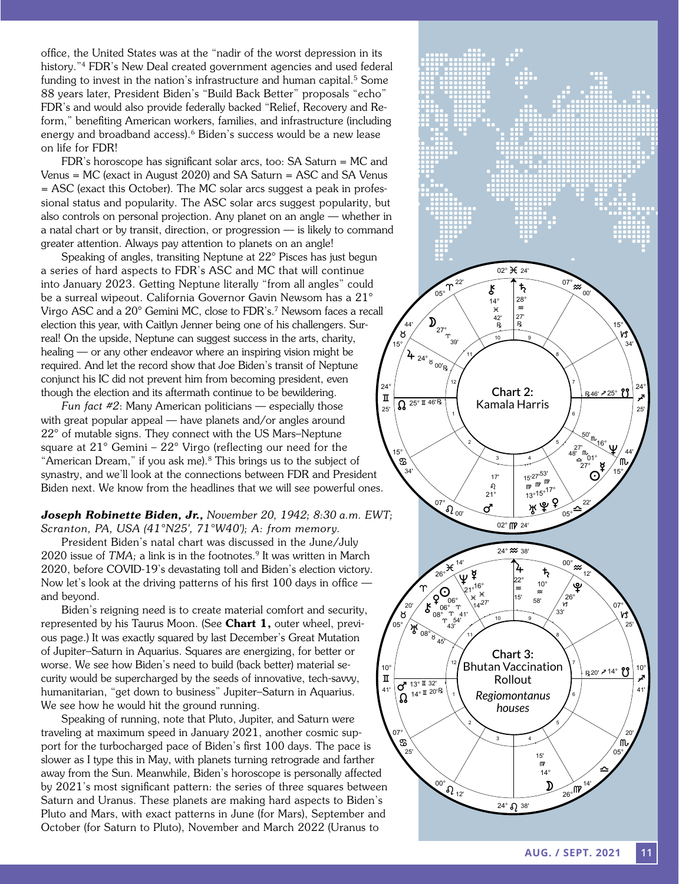office, the United States was at the "nadir of the worst depression in its history."<sup>4</sup> FDR's New Deal created government agencies and used federal funding to invest in the nation's infrastructure and human capital.<sup>5</sup> Some 88 years later, President Biden's "Build Back Better" proposals "echo" FDR's and would also provide federally backed "Relief, Recovery and Reform," benefiting American workers, families, and infrastructure (including energy and broadband access).<sup>6</sup> Biden's success would be a new lease on life for FDR!

FDR's horoscope has significant solar arcs, too: SA Saturn = MC and Venus = MC (exact in August 2020) and SA Saturn = ASC and SA Venus  $=$  ASC (exact this October). The MC solar arcs suggest a peak in professional status and popularity. The ASC solar arcs suggest popularity, but also controls on personal projection. Any planet on an angle — whether in a natal chart or by transit, direction, or progression — is likely to command greater attention. Always pay attention to planets on an angle!

Speaking of angles, transiting Neptune at 22° Pisces has just begun a series of hard aspects to FDR's ASC and MC that will continue into January 2023. Getting Neptune literally "from all angles" could be a surreal wipeout. California Governor Gavin Newsom has a 21° Virgo ASC and a 20° Gemini MC, close to FDR's.<sup>7</sup> Newsom faces a recall election this year, with Caitlyn Jenner being one of his challengers. Surreal! On the upside, Neptune can suggest success in the arts, charity, healing — or any other endeavor where an inspiring vision might be required. And let the record show that Joe Biden's transit of Neptune conjunct his IC did not prevent him from becoming president, even though the election and its aftermath continue to be bewildering.

*Fun fact #2*: Many American politicians — especially those with great popular appeal — have planets and/or angles around 22° of mutable signs. They connect with the US Mars–Neptune square at 21° Gemini – 22° Virgo (reflecting our need for the "American Dream," if you ask me).<sup>8</sup> This brings us to the subject of synastry, and we'll look at the connections between FDR and President Biden next. We know from the headlines that we will see powerful ones.  $\bigwedge$ 

 $\bm{Joseph}$   $\bm{Robin}$ ette  $\bm{B}$ iden,  $\bm{Jr}$ , November 20, 1942; 8:30 a.m. EWT; *Scranton, PA, USA (41°N25', 71°W40'); A: from memory.*

President Biden's natal chart was discussed in the June/July 2020 issue of *TMA*; a link is in the footnotes.<sup>9</sup> It was written in March 2020, before COVID-19's devastating toll and Biden's election victory. Now let's look at the driving patterns of his first 100 days in office and beyond.

Biden's reigning need is to create material comfort and security, represented by his Taurus Moon. (See Chart 1, outer wheel, previous page.) It was exactly squared by last December's Great Mutation of Jupiter–Saturn in Aquarius. Squares are energizing, for better or worse. We see how Biden's need to build (back better) material security would be supercharged by the seeds of innovative, tech-savvy, humanitarian, "get down to business" Jupiter–Saturn in Aquarius. We see how he would hit the ground running.

Speaking of running, note that Pluto, Jupiter, and Saturn were traveling at maximum speed in January 2021, another cosmic support for the turbocharged pace of Biden's first 100 days. The pace is slower as I type this in May, with planets turning retrograde and farther away from the Sun. Meanwhile, Biden's horoscope is personally affected by 2021's most significant pattern: the series of three squares between Saturn and Uranus. These planets are making hard aspects to Biden's Pluto and Mars, with exact patterns in June (for Mars), September and October (for Saturn to Pluto), November and March 2022 (Uranus to

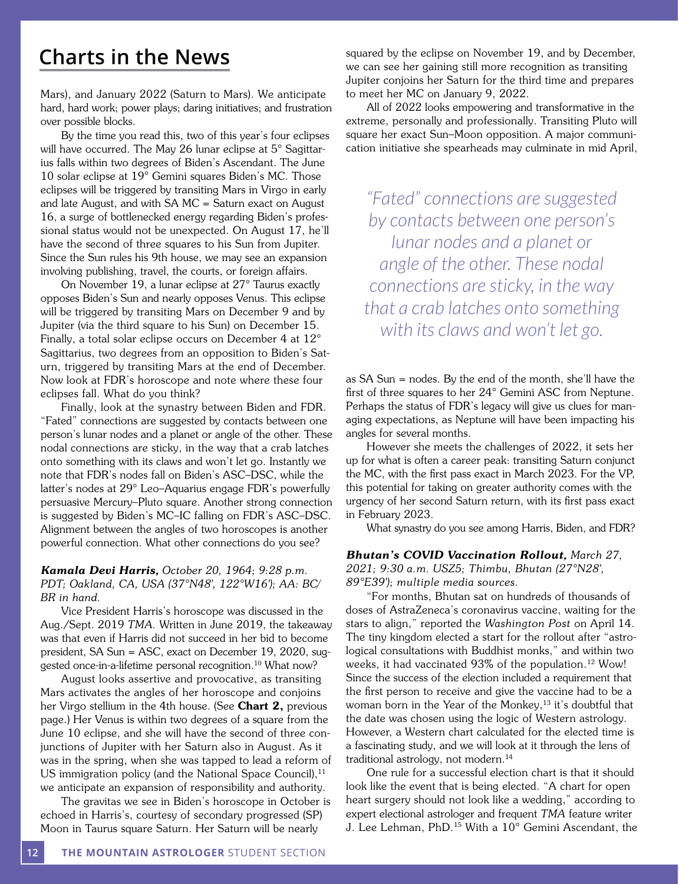# **Charts in the News**

Mars), and January 2022 (Saturn to Mars). We anticipate hard, hard work; power plays; daring initiatives; and frustration over possible blocks.

By the time you read this, two of this year's four eclipses will have occurred. The May 26 lunar eclipse at 5° Sagittarius falls within two degrees of Biden's Ascendant. The June 10 solar eclipse at 19° Gemini squares Biden's MC. Those eclipses will be triggered by transiting Mars in Virgo in early and late August, and with SA MC = Saturn exact on August 16, a surge of bottlenecked energy regarding Biden's professional status would not be unexpected. On August 17, he'll have the second of three squares to his Sun from Jupiter. Since the Sun rules his 9th house, we may see an expansion involving publishing, travel, the courts, or foreign affairs.

On November 19, a lunar eclipse at 27° Taurus exactly opposes Biden's Sun and nearly opposes Venus. This eclipse will be triggered by transiting Mars on December 9 and by Jupiter (via the third square to his Sun) on December 15. Finally, a total solar eclipse occurs on December 4 at 12° Sagittarius, two degrees from an opposition to Biden's Saturn, triggered by transiting Mars at the end of December. Now look at FDR's horoscope and note where these four eclipses fall. What do you think?

Finally, look at the synastry between Biden and FDR. "Fated" connections are suggested by contacts between one person's lunar nodes and a planet or angle of the other. These nodal connections are sticky, in the way that a crab latches onto something with its claws and won't let go. Instantly we note that FDR's nodes fall on Biden's ASC–DSC, while the latter's nodes at 29° Leo–Aquarius engage FDR's powerfully persuasive Mercury–Pluto square. Another strong connection is suggested by Biden's MC–IC falling on FDR's ASC–DSC. Alignment between the angles of two horoscopes is another powerful connection. What other connections do you see?

## *Kamala Devi Harris, October 20, 1964; 9:28 p.m. PDT; Oakland, CA, USA (37°N48', 122°W16'); AA: BC/ BR in hand.*

Vice President Harris's horoscope was discussed in the Aug./Sept. 2019 *TMA.* Written in June 2019, the takeaway was that even if Harris did not succeed in her bid to become president, SA Sun = ASC, exact on December 19, 2020, suggested once-in-a-lifetime personal recognition.<sup>10</sup> What now?

August looks assertive and provocative, as transiting Mars activates the angles of her horoscope and conjoins her Virgo stellium in the 4th house. (See Chart 2, previous page.) Her Venus is within two degrees of a square from the June 10 eclipse, and she will have the second of three conjunctions of Jupiter with her Saturn also in August. As it was in the spring, when she was tapped to lead a reform of US immigration policy (and the National Space Council),  $11$ we anticipate an expansion of responsibility and authority.

The gravitas we see in Biden's horoscope in October is echoed in Harris's, courtesy of secondary progressed (SP) Moon in Taurus square Saturn. Her Saturn will be nearly

squared by the eclipse on November 19, and by December, we can see her gaining still more recognition as transiting Jupiter conjoins her Saturn for the third time and prepares to meet her MC on January 9, 2022.

All of 2022 looks empowering and transformative in the extreme, personally and professionally. Transiting Pluto will square her exact Sun–Moon opposition. A major communication initiative she spearheads may culminate in mid April,

*"Fated" connections are suggested by contacts between one person's lunar nodes and a planet or angle of the other. These nodal connections are sticky, in the way that a crab latches onto something with its claws and won't let go.*

as SA Sun = nodes. By the end of the month, she'll have the first of three squares to her 24° Gemini ASC from Neptune. Perhaps the status of FDR's legacy will give us clues for managing expectations, as Neptune will have been impacting his angles for several months.

However she meets the challenges of 2022, it sets her up for what is often a career peak: transiting Saturn conjunct the MC, with the first pass exact in March 2023. For the VP, this potential for taking on greater authority comes with the urgency of her second Saturn return, with its first pass exact in February 2023.

What synastry do you see among Harris, Biden, and FDR?

### *Bhutan's COVID Vaccination Rollout, March 27,*

*2021; 9:30 a.m. USZ5; Thimbu, Bhutan (27°N28', 89°E39'); multiple media sources.*

"For months, Bhutan sat on hundreds of thousands of doses of AstraZeneca's coronavirus vaccine, waiting for the stars to align," reported the *Washington Post* on April 14. The tiny kingdom elected a start for the rollout after "astrological consultations with Buddhist monks," and within two weeks, it had vaccinated 93% of the population.<sup>12</sup> Wow! Since the success of the election included a requirement that the first person to receive and give the vaccine had to be a woman born in the Year of the Monkey, $13$  it's doubtful that the date was chosen using the logic of Western astrology. However, a Western chart calculated for the elected time is a fascinating study, and we will look at it through the lens of traditional astrology, not modern.<sup>14</sup>

One rule for a successful election chart is that it should look like the event that is being elected. "A chart for open heart surgery should not look like a wedding," according to expert electional astrologer and frequent *TMA* feature writer J. Lee Lehman, PhD.15 With a 10° Gemini Ascendant, the